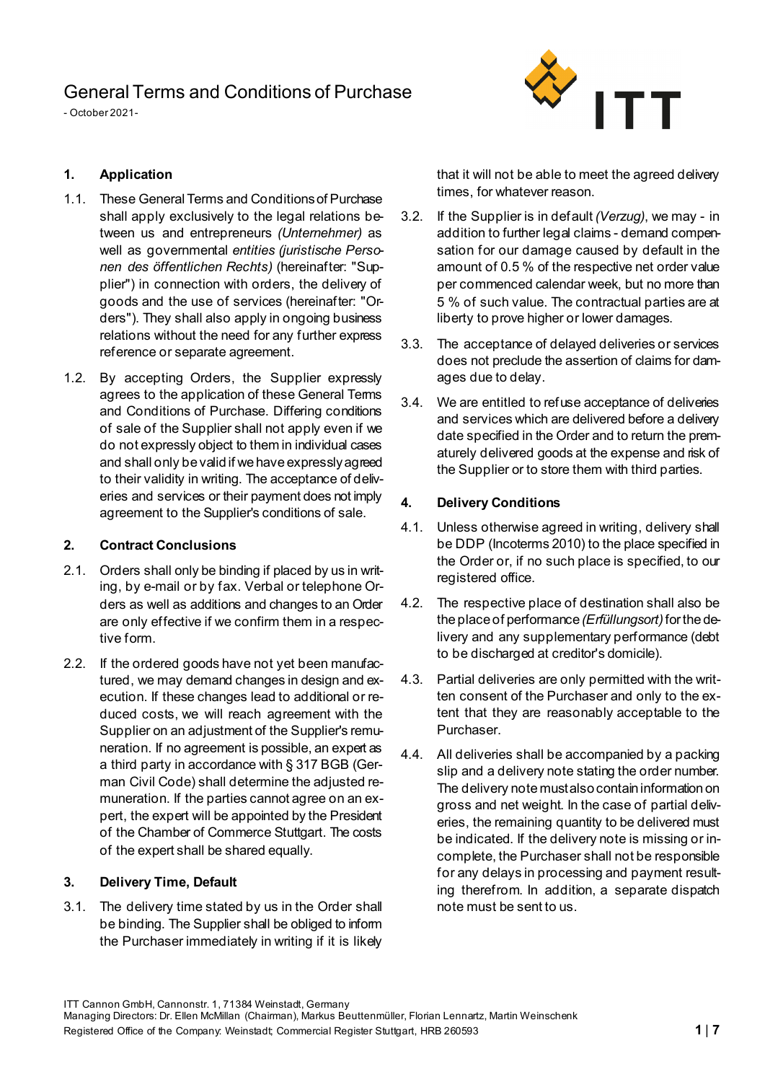- October 2021-



## **1. Application**

- 1.1. These General Terms and Conditions of Purchase shall apply exclusively to the legal relations between us and entrepreneurs *(Unternehmer)* as well as governmental *entities (juristische Personen des öffentlichen Rechts)* (hereinafter: "Supplier") in connection with orders, the delivery of goods and the use of services (hereinafter: "Orders"). They shall also apply in ongoing business relations without the need for any further express reference or separate agreement.
- 1.2. By accepting Orders, the Supplier expressly agrees to the application of these General Terms and Conditions of Purchase. Differing conditions of sale of the Supplier shall not apply even if we do not expressly object to them in individual cases and shall only be valid if we have expressly agreed to their validity in writing. The acceptance of deliveries and services or their payment does not imply agreement to the Supplier's conditions of sale.

#### **2. Contract Conclusions**

- 2.1. Orders shall only be binding if placed by us in writing, by e-mail or by fax. Verbal or telephone Orders as well as additions and changes to an Order are only effective if we confirm them in a respective form.
- 2.2. If the ordered goods have not yet been manufactured, we may demand changes in design and execution. If these changes lead to additional or reduced costs, we will reach agreement with the Supplier on an adjustment of the Supplier's remuneration. If no agreement is possible, an expert as a third party in accordance with § 317 BGB (German Civil Code) shall determine the adjusted remuneration. If the parties cannot agree on an expert, the expert will be appointed by the President of the Chamber of Commerce Stuttgart. The costs of the expert shall be shared equally.

## **3. Delivery Time, Default**

3.1. The delivery time stated by us in the Order shall be binding. The Supplier shall be obliged to inform the Purchaser immediately in writing if it is likely that it will not be able to meet the agreed delivery times, for whatever reason.

- 3.2. If the Supplier is in default *(Verzug)*, we may in addition to further legal claims - demand compensation for our damage caused by default in the amount of 0.5 % of the respective net order value per commenced calendar week, but no more than 5 % of such value. The contractual parties are at liberty to prove higher or lower damages.
- 3.3. The acceptance of delayed deliveries or services does not preclude the assertion of claims for damages due to delay.
- 3.4. We are entitled to refuse acceptance of deliveries and services which are delivered before a delivery date specified in the Order and to return the prematurely delivered goods at the expense and risk of the Supplier or to store them with third parties.

## **4. Delivery Conditions**

- 4.1. Unless otherwise agreed in writing, delivery shall be DDP (Incoterms 2010) to the place specified in the Order or, if no such place is specified, to our registered office.
- 4.2. The respective place of destination shall also be the place of performance *(Erfüllungsort)*for the delivery and any supplementary performance (debt to be discharged at creditor's domicile).
- 4.3. Partial deliveries are only permitted with the written consent of the Purchaser and only to the extent that they are reasonably acceptable to the Purchaser.
- 4.4. All deliveries shall be accompanied by a packing slip and a delivery note stating the order number. The delivery note must also contain information on gross and net weight. In the case of partial deliveries, the remaining quantity to be delivered must be indicated. If the delivery note is missing or incomplete, the Purchaser shall not be responsible for any delays in processing and payment resulting therefrom. In addition, a separate dispatch note must be sent to us.

ITT Cannon GmbH, Cannonstr. 1, 71384 Weinstadt, Germany

Managing Directors: Dr. Ellen McMillan (Chairman), Markus Beuttenmüller, Florian Lennartz, Martin Weinschenk Registered Office of the Company: Weinstadt; Commercial Register Stuttgart, HRB 260593 **1** | **7**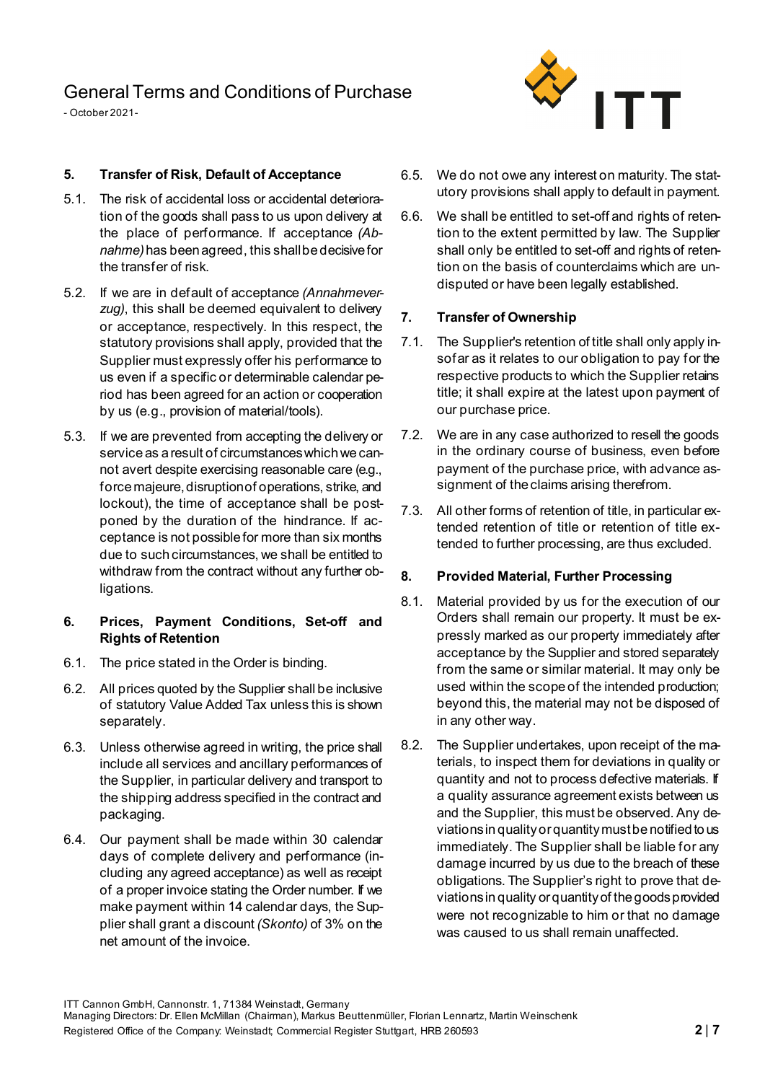

- October 2021-

#### **5. Transfer of Risk, Default of Acceptance**

- 5.1. The risk of accidental loss or accidental deterioration of the goods shall pass to us upon delivery at the place of performance. If acceptance *(Abnahme)*has been agreed, this shall be decisive for the transfer of risk.
- 5.2. If we are in default of acceptance *(Annahmeverzug)*, this shall be deemed equivalent to delivery or acceptance, respectively. In this respect, the statutory provisions shall apply, provided that the Supplier must expressly offer his performance to us even if a specific or determinable calendar period has been agreed for an action or cooperation by us (e.g., provision of material/tools).
- 5.3. If we are prevented from accepting the delivery or service as a result of circumstances which we cannot avert despite exercising reasonable care (e.g., force majeure, disruption of operations, strike, and lockout), the time of acceptance shall be postponed by the duration of the hindrance. If acceptance is not possible for more than six months due to such circumstances, we shall be entitled to withdraw from the contract without any further obligations.

#### **6. Prices, Payment Conditions, Set-off and Rights of Retention**

- 6.1. The price stated in the Order is binding.
- 6.2. All prices quoted by the Supplier shall be inclusive of statutory Value Added Tax unless this is shown separately.
- 6.3. Unless otherwise agreed in writing, the price shall include all services and ancillary performances of the Supplier, in particular delivery and transport to the shipping address specified in the contract and packaging.
- 6.4. Our payment shall be made within 30 calendar days of complete delivery and performance (including any agreed acceptance) as well as receipt of a proper invoice stating the Order number. If we make payment within 14 calendar days, the Supplier shall grant a discount *(Skonto)* of 3% on the net amount of the invoice.
- 6.5. We do not owe any interest on maturity. The statutory provisions shall apply to default in payment.
- 6.6. We shall be entitled to set-off and rights of retention to the extent permitted by law. The Supplier shall only be entitled to set-off and rights of retention on the basis of counterclaims which are undisputed or have been legally established.

### **7. Transfer of Ownership**

- 7.1. The Supplier's retention of title shall only apply insofar as it relates to our obligation to pay for the respective products to which the Supplier retains title; it shall expire at the latest upon payment of our purchase price.
- 7.2. We are in any case authorized to resell the goods in the ordinary course of business, even before payment of the purchase price, with advance assignment of the claims arising therefrom.
- 7.3. All other forms of retention of title, in particular extended retention of title or retention of title extended to further processing, are thus excluded.

#### **8. Provided Material, Further Processing**

- 8.1. Material provided by us for the execution of our Orders shall remain our property. It must be expressly marked as our property immediately after acceptance by the Supplier and stored separately from the same or similar material. It may only be used within the scope of the intended production; beyond this, the material may not be disposed of in any other way.
- 8.2. The Supplier undertakes, upon receipt of the materials, to inspect them for deviations in quality or quantity and not to process defective materials. If a quality assurance agreement exists between us and the Supplier, this must be observed. Any deviations in quality or quantity must be notified to us immediately. The Supplier shall be liable for any damage incurred by us due to the breach of these obligations. The Supplier's right to prove that deviations in quality or quantity of the goods provided were not recognizable to him or that no damage was caused to us shall remain unaffected.

ITT Cannon GmbH, Cannonstr. 1, 71384 Weinstadt, Germany

Managing Directors: Dr. Ellen McMillan (Chairman), Markus Beuttenmüller, Florian Lennartz, Martin Weinschenk Registered Office of the Company: Weinstadt; Commercial Register Stuttgart, HRB 260593 **2** | **7**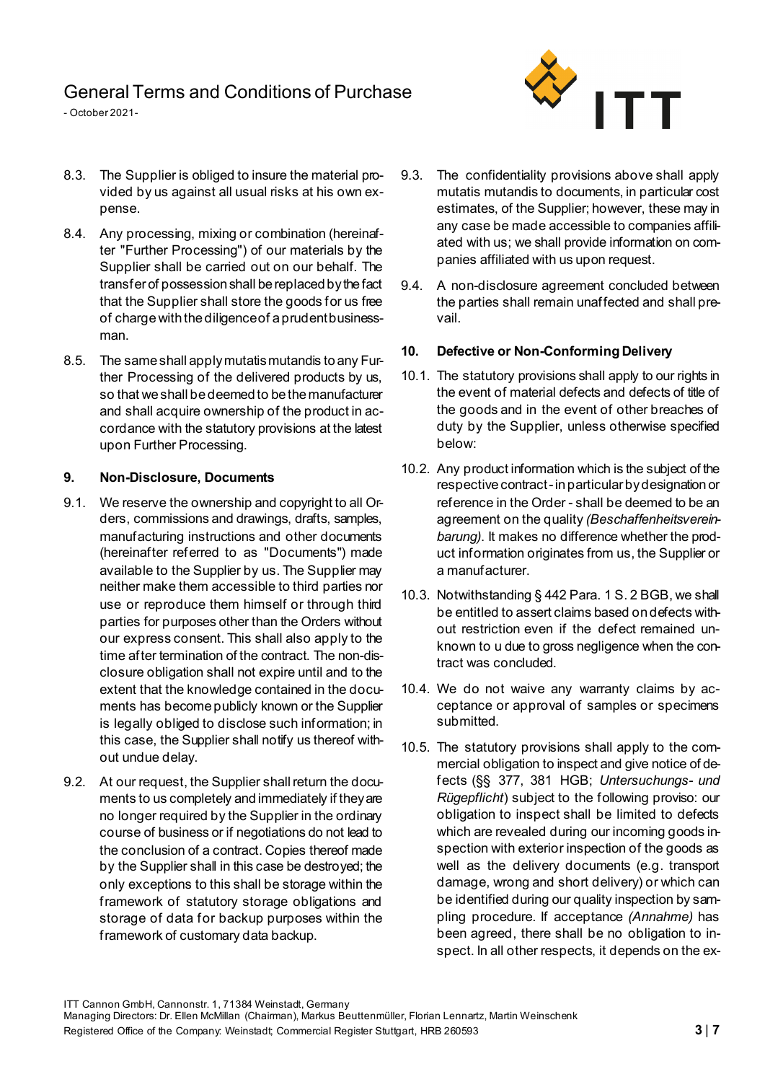

- October 2021-

- 8.3. The Supplier is obliged to insure the material provided by us against all usual risks at his own expense.
- 8.4. Any processing, mixing or combination (hereinafter "Further Processing") of our materials by the Supplier shall be carried out on our behalf. The transfer of possessionshall be replaced by the fact that the Supplier shall store the goods for us free of charge with the diligence of a prudent businessman.
- 8.5. The same shall apply mutatis mutandis to any Further Processing of the delivered products by us, so that we shall be deemed to be the manufacturer and shall acquire ownership of the product in accordance with the statutory provisions at the latest upon Further Processing.

#### **9. Non-Disclosure, Documents**

- 9.1. We reserve the ownership and copyright to all Orders, commissions and drawings, drafts, samples, manufacturing instructions and other documents (hereinafter referred to as "Documents") made available to the Supplier by us. The Supplier may neither make them accessible to third parties nor use or reproduce them himself or through third parties for purposes other than the Orders without our express consent. This shall also apply to the time after termination of the contract. The non-disclosure obligation shall not expire until and to the extent that the knowledge contained in the documents has become publicly known or the Supplier is legally obliged to disclose such information; in this case, the Supplier shall notify us thereof without undue delay.
- 9.2. At our request, the Supplier shall return the documents to us completely and immediately if they are no longer required by the Supplier in the ordinary course of business or if negotiations do not lead to the conclusion of a contract. Copies thereof made by the Supplier shall in this case be destroyed; the only exceptions to this shall be storage within the framework of statutory storage obligations and storage of data for backup purposes within the framework of customary data backup.
- 9.3. The confidentiality provisions above shall apply mutatis mutandis to documents, in particular cost estimates, of the Supplier; however, these may in any case be made accessible to companies affiliated with us; we shall provide information on companies affiliated with us upon request.
- <span id="page-2-0"></span>9.4. A non-disclosure agreement concluded between the parties shall remain unaffected and shall prevail.

#### **10. Defective or Non-Conforming Delivery**

- 10.1. The statutory provisions shall apply to our rights in the event of material defects and defects of title of the goods and in the event of other breaches of duty by the Supplier, unless otherwise specified below:
- 10.2. Any product information which is the subject of the respective contract -in particular by designation or reference in the Order - shall be deemed to be an agreement on the quality *(Beschaffenheitsvereinbarung)*. It makes no difference whether the product information originates from us, the Supplier or a manufacturer.
- 10.3. Notwithstanding § 442 Para. 1 S. 2 BGB, we shall be entitled to assert claims based on defects without restriction even if the defect remained unknown to u due to gross negligence when the contract was concluded.
- 10.4. We do not waive any warranty claims by acceptance or approval of samples or specimens submitted.
- 10.5. The statutory provisions shall apply to the commercial obligation to inspect and give notice of defects (§§ 377, 381 HGB; *Untersuchungs- und Rügepflicht*) subject to the following proviso: our obligation to inspect shall be limited to defects which are revealed during our incoming goods inspection with exterior inspection of the goods as well as the delivery documents (e.g. transport damage, wrong and short delivery) or which can be identified during our quality inspection by sampling procedure. If acceptance *(Annahme)* has been agreed, there shall be no obligation to inspect. In all other respects, it depends on the ex-

ITT Cannon GmbH, Cannonstr. 1, 71384 Weinstadt, Germany

Managing Directors: Dr. Ellen McMillan (Chairman), Markus Beuttenmüller, Florian Lennartz, Martin Weinschenk Registered Office of the Company: Weinstadt; Commercial Register Stuttgart, HRB 260593 **3** | **7**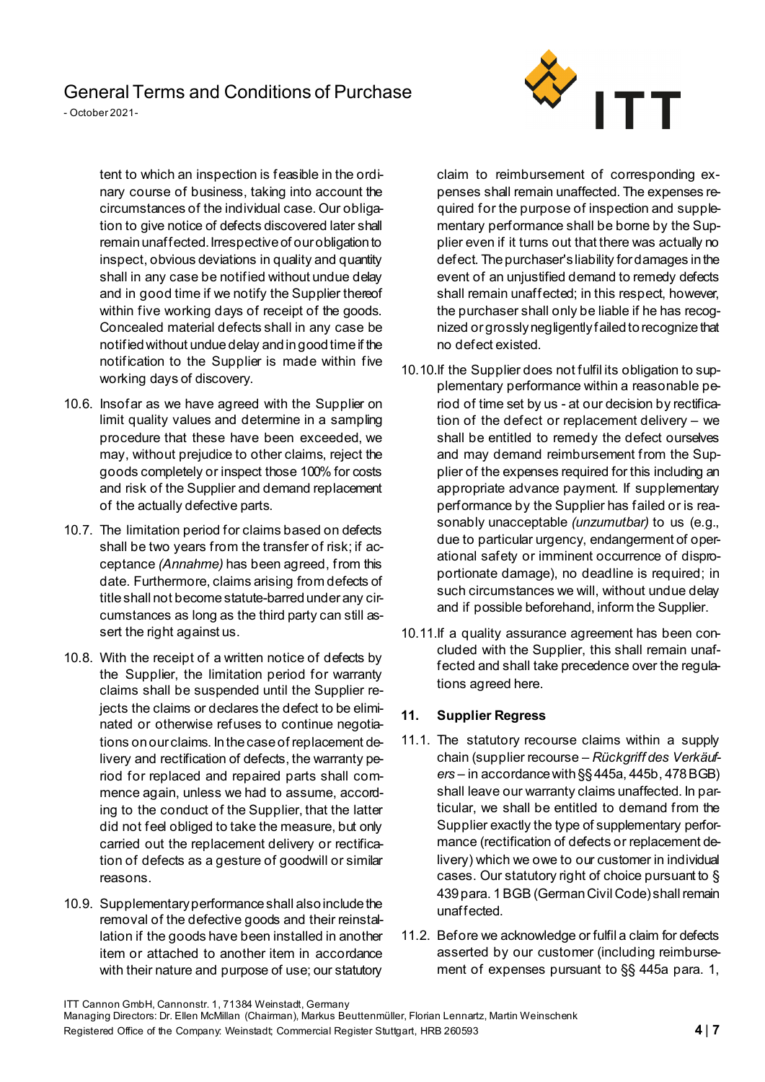

- October 2021-

tent to which an inspection is feasible in the ordinary course of business, taking into account the circumstances of the individual case. Our obligation to give notice of defects discovered later shall remain unaffected. Irrespective of our obligation to inspect, obvious deviations in quality and quantity shall in any case be notified without undue delay and in good time if we notify the Supplier thereof within five working days of receipt of the goods. Concealed material defects shall in any case be notified without undue delay and in good time if the notification to the Supplier is made within five working days of discovery.

- 10.6. Insofar as we have agreed with the Supplier on limit quality values and determine in a sampling procedure that these have been exceeded, we may, without prejudice to other claims, reject the goods completely or inspect those 100% for costs and risk of the Supplier and demand replacement of the actually defective parts.
- 10.7. The limitation period for claims based on defects shall be two years from the transfer of risk; if acceptance *(Annahme)* has been agreed, from this date. Furthermore, claims arising from defects of title shall not become statute-barred under any circumstances as long as the third party can still assert the right against us.
- 10.8. With the receipt of a written notice of defects by the Supplier, the limitation period for warranty claims shall be suspended until the Supplier rejects the claims or declares the defect to be eliminated or otherwise refuses to continue negotiations on our claims. In the case of replacement delivery and rectification of defects, the warranty period for replaced and repaired parts shall commence again, unless we had to assume, according to the conduct of the Supplier, that the latter did not feel obliged to take the measure, but only carried out the replacement delivery or rectification of defects as a gesture of goodwill or similar reasons.
- 10.9. Supplementary performance shall also include the removal of the defective goods and their reinstallation if the goods have been installed in another item or attached to another item in accordance with their nature and purpose of use; our statutory

claim to reimbursement of corresponding expenses shall remain unaffected. The expenses required for the purpose of inspection and supplementary performance shall be borne by the Supplier even if it turns out that there was actually no defect. The purchaser's liability for damages in the event of an unjustified demand to remedy defects shall remain unaffected; in this respect, however, the purchaser shall only be liable if he has recognized or grossly negligently failed to recognize that no defect existed.

- 10.10.If the Supplier does not fulfil its obligation to supplementary performance within a reasonable period of time set by us - at our decision by rectification of the defect or replacement delivery – we shall be entitled to remedy the defect ourselves and may demand reimbursement from the Supplier of the expenses required for this including an appropriate advance payment. If supplementary performance by the Supplier has failed or is reasonably unacceptable *(unzumutbar)* to us (e.g., due to particular urgency, endangerment of operational safety or imminent occurrence of disproportionate damage), no deadline is required; in such circumstances we will, without undue delay and if possible beforehand, inform the Supplier.
- 10.11.If a quality assurance agreement has been concluded with the Supplier, this shall remain unaffected and shall take precedence over the regulations agreed here.

#### **11. Supplier Regress**

- 11.1. The statutory recourse claims within a supply chain (supplier recourse *– Rückgriff des Verkäufers –* in accordance with §§ 445a, 445b, 478 BGB) shall leave our warranty claims unaffected. In particular, we shall be entitled to demand from the Supplier exactly the type of supplementary performance (rectification of defects or replacement delivery) which we owe to our customer in individual cases. Our statutory right of choice pursuant to § 439 para. 1 BGB (German Civil Code) shall remain unaffected.
- 11.2. Before we acknowledge or fulfil a claim for defects asserted by our customer (including reimbursement of expenses pursuant to §§ 445a para. 1,

ITT Cannon GmbH, Cannonstr. 1, 71384 Weinstadt, Germany

Managing Directors: Dr. Ellen McMillan (Chairman), Markus Beuttenmüller, Florian Lennartz, Martin Weinschenk Registered Office of the Company: Weinstadt; Commercial Register Stuttgart, HRB 260593 **4** | **7**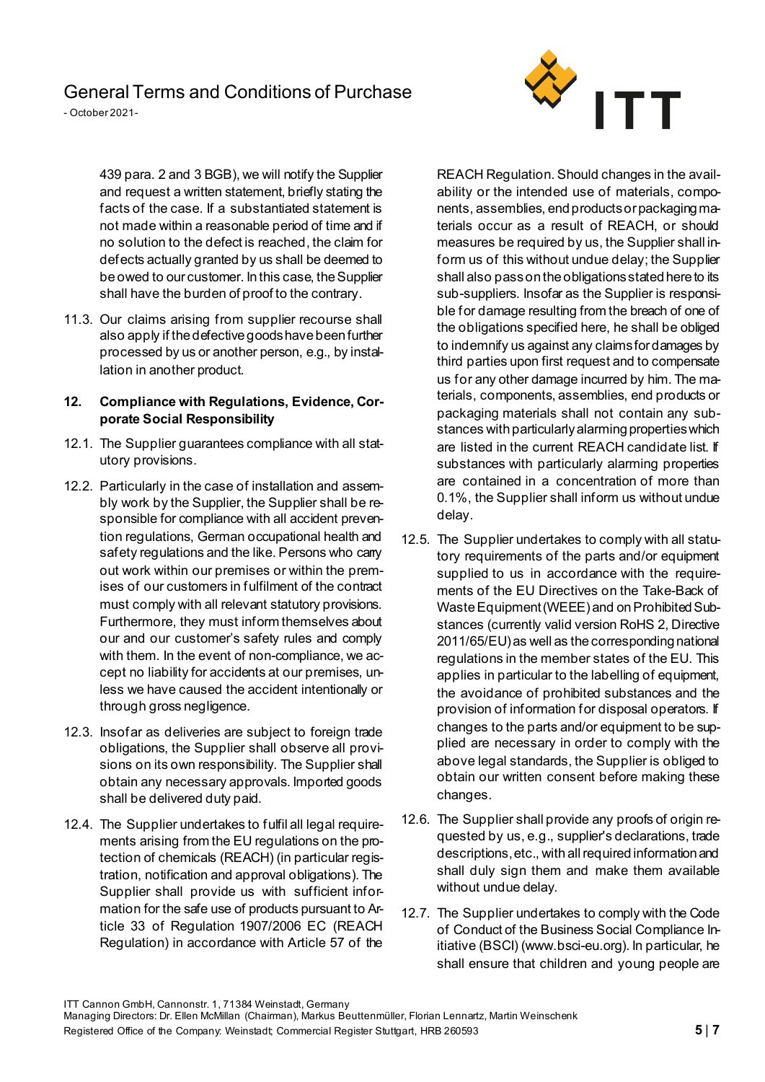

- October 2021-

439 para. 2 and 3 BGB), we will notify the Supplier and request a written statement, briefly stating the facts of the case. If a substantiated statement is not made within a reasonable period of time and if no solution to the defect is reached, the claim for defects actually granted by us shall be deemed to be owed to our customer. In this case, the Supplier shall have the burden of proof to the contrary.

11.3. Our claims arising from supplier recourse shall also apply if the defective goods have been further processed by us or another person, e.g., by installation in another product.

#### **12. Compliance with Regulations, Evidence, Corporate Social Responsibility**

- 12.1. The Supplier guarantees compliance with all statutory provisions.
- 12.2. Particularly in the case of installation and assembly work by the Supplier, the Supplier shall be responsible for compliance with all accident prevention regulations, German occupational health and safety regulations and the like. Persons who carry out work within our premises or within the premises of our customers in fulfilment of the contract must comply with all relevant statutory provisions. Furthermore, they must inform themselves about our and our customer's safety rules and comply with them. In the event of non-compliance, we accept no liability for accidents at our premises, unless we have caused the accident intentionally or through gross negligence.
- 12.3. Insofar as deliveries are subject to foreign trade obligations, the Supplier shall observe all provisions on its own responsibility. The Supplier shall obtain any necessary approvals. Imported goods shall be delivered duty paid.
- 12.4. The Supplier undertakes to fulfil all legal requirements arising from the EU regulations on the protection of chemicals (REACH) (in particular registration, notification and approval obligations). The Supplier shall provide us with sufficient information for the safe use of products pursuant to Article 33 of Regulation 1907/2006 EC (REACH Regulation) in accordance with Article 57 of the

REACH Regulation. Should changes in the availability or the intended use of materials, components, assemblies, end products or packaging materials occur as a result of REACH, or should measures be required by us, the Supplier shall inform us of this without undue delay; the Supplier shall also pass on the obligations stated here to its sub-suppliers. Insofar as the Supplier is responsible for damage resulting from the breach of one of the obligations specified here, he shall be obliged to indemnify us against any claims for damages by third parties upon first request and to compensate us for any other damage incurred by him. The materials, components, assemblies, end products or packaging materials shall not contain any substances with particularly alarming properties which are listed in the current REACH candidate list. If substances with particularly alarming properties are contained in a concentration of more than 0.1%, the Supplier shall inform us without undue delay.

- 12.5. The Supplier undertakes to comply with all statutory requirements of the parts and/or equipment supplied to us in accordance with the requirements of the EU Directives on the Take-Back of Waste Equipment (WEEE) and on Prohibited Substances (currently valid version RoHS 2, Directive 2011/65/EU) as well as the corresponding national regulations in the member states of the EU. This applies in particular to the labelling of equipment, the avoidance of prohibited substances and the provision of information for disposal operators. If changes to the parts and/or equipment to be supplied are necessary in order to comply with the above legal standards, the Supplier is obliged to obtain our written consent before making these changes.
- 12.6. The Supplier shall provide any proofs of origin requested by us, e.g., supplier's declarations, trade descriptions, etc., with all required information and shall duly sign them and make them available without undue delay.
- 12.7. The Supplier undertakes to comply with the Code of Conduct of the Business Social Compliance Initiative (BSCI) (www.bsci-eu.org). In particular, he shall ensure that children and young people are

ITT Cannon GmbH, Cannonstr. 1, 71384 Weinstadt, Germany

Managing Directors: Dr. Ellen McMillan (Chairman), Markus Beuttenmüller, Florian Lennartz, Martin Weinschenk Registered Office of the Company: Weinstadt; Commercial Register Stuttgart, HRB 260593 **5** | **7**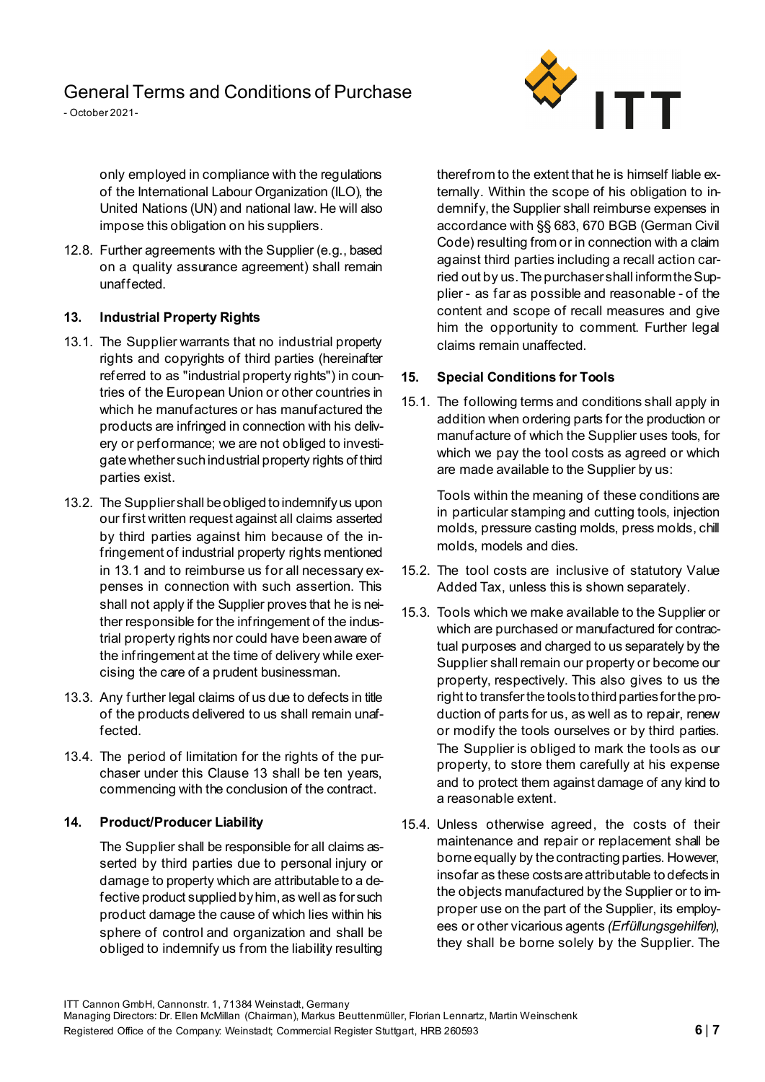- October 2021-

 $\overset{\sim}{\vee}$  ITT

only employed in compliance with the regulations of the International Labour Organization (ILO), the United Nations (UN) and national law. He will also impose this obligation on his suppliers.

12.8. Further agreements with the Supplier (e.g., based on a quality assurance agreement) shall remain unaffected.

#### **13. Industrial Property Rights**

- 13.1. The Supplier warrants that no industrial property rights and copyrights of third parties (hereinafter referred to as "industrial property rights") in countries of the European Union or other countries in which he manufactures or has manufactured the products are infringed in connection with his delivery or performance; we are not obliged to investigate whether such industrial property rights of third parties exist.
- 13.2. The Supplier shall be obliged to indemnify us upon our first written request against all claims asserted by third parties against him because of the infringement of industrial property rights mentioned in 13.1 and to reimburse us for all necessary expenses in connection with such assertion. This shall not apply if the Supplier proves that he is neither responsible for the infringement of the industrial property rights nor could have been aware of the infringement at the time of delivery while exercising the care of a prudent businessman.
- 13.3. Any further legal claims of us due to defects in title of the products delivered to us shall remain unaffected.
- 13.4. The period of limitation for the rights of the purchaser under this Clause 13 shall be ten years, commencing with the conclusion of the contract.

#### **14. Product/Producer Liability**

The Supplier shall be responsible for all claims asserted by third parties due to personal injury or damage to property which are attributable to a defective product supplied by him, as well as for such product damage the cause of which lies within his sphere of control and organization and shall be obliged to indemnify us from the liability resulting

therefrom to the extent that he is himself liable externally. Within the scope of his obligation to indemnify, the Supplier shall reimburse expenses in accordance with §§ 683, 670 BGB (German Civil Code) resulting from or in connection with a claim against third parties including a recall action carried out by us. The purchaser shall inform the Supplier - as far as possible and reasonable - of the content and scope of recall measures and give him the opportunity to comment. Further legal claims remain unaffected.

### **15. Special Conditions for Tools**

15.1. The following terms and conditions shall apply in addition when ordering parts for the production or manufacture of which the Supplier uses tools, for which we pay the tool costs as agreed or which are made available to the Supplier by us:

> Tools within the meaning of these conditions are in particular stamping and cutting tools, injection molds, pressure casting molds, press molds, chill molds, models and dies.

- 15.2. The tool costs are inclusive of statutory Value Added Tax, unless this is shown separately.
- 15.3. Tools which we make available to the Supplier or which are purchased or manufactured for contractual purposes and charged to us separately by the Supplier shall remain our property or become our property, respectively. This also gives to us the right to transfer the tools to third parties for the production of parts for us, as well as to repair, renew or modify the tools ourselves or by third parties. The Supplier is obliged to mark the tools as our property, to store them carefully at his expense and to protect them against damage of any kind to a reasonable extent.
- 15.4. Unless otherwise agreed, the costs of their maintenance and repair or replacement shall be borne equally by the contracting parties. However, insofar as these costs are attributable to defects in the objects manufactured by the Supplier or to improper use on the part of the Supplier, its employees or other vicarious agents *(Erfüllungsgehilfen)*, they shall be borne solely by the Supplier. The

ITT Cannon GmbH, Cannonstr. 1, 71384 Weinstadt, Germany

Managing Directors: Dr. Ellen McMillan (Chairman), Markus Beuttenmüller, Florian Lennartz, Martin Weinschenk Registered Office of the Company: Weinstadt; Commercial Register Stuttgart, HRB 260593 **6** | **7**